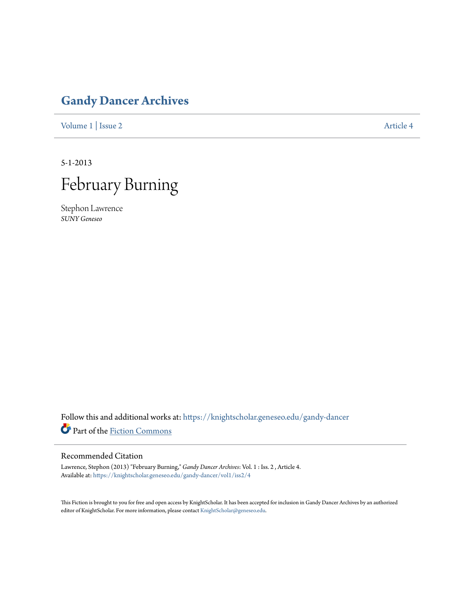## **[Gandy Dancer Archives](https://knightscholar.geneseo.edu/gandy-dancer?utm_source=knightscholar.geneseo.edu%2Fgandy-dancer%2Fvol1%2Fiss2%2F4&utm_medium=PDF&utm_campaign=PDFCoverPages)**

[Volume 1](https://knightscholar.geneseo.edu/gandy-dancer/vol1?utm_source=knightscholar.geneseo.edu%2Fgandy-dancer%2Fvol1%2Fiss2%2F4&utm_medium=PDF&utm_campaign=PDFCoverPages) | [Issue 2](https://knightscholar.geneseo.edu/gandy-dancer/vol1/iss2?utm_source=knightscholar.geneseo.edu%2Fgandy-dancer%2Fvol1%2Fiss2%2F4&utm_medium=PDF&utm_campaign=PDFCoverPages) [Article 4](https://knightscholar.geneseo.edu/gandy-dancer/vol1/iss2/4?utm_source=knightscholar.geneseo.edu%2Fgandy-dancer%2Fvol1%2Fiss2%2F4&utm_medium=PDF&utm_campaign=PDFCoverPages)

5-1-2013



Stephon Lawrence *SUNY Geneseo*

Follow this and additional works at: [https://knightscholar.geneseo.edu/gandy-dancer](https://knightscholar.geneseo.edu/gandy-dancer?utm_source=knightscholar.geneseo.edu%2Fgandy-dancer%2Fvol1%2Fiss2%2F4&utm_medium=PDF&utm_campaign=PDFCoverPages) Part of the [Fiction Commons](http://network.bepress.com/hgg/discipline/1151?utm_source=knightscholar.geneseo.edu%2Fgandy-dancer%2Fvol1%2Fiss2%2F4&utm_medium=PDF&utm_campaign=PDFCoverPages)

## Recommended Citation

Lawrence, Stephon (2013) "February Burning," *Gandy Dancer Archives*: Vol. 1 : Iss. 2 , Article 4. Available at: [https://knightscholar.geneseo.edu/gandy-dancer/vol1/iss2/4](https://knightscholar.geneseo.edu/gandy-dancer/vol1/iss2/4?utm_source=knightscholar.geneseo.edu%2Fgandy-dancer%2Fvol1%2Fiss2%2F4&utm_medium=PDF&utm_campaign=PDFCoverPages)

This Fiction is brought to you for free and open access by KnightScholar. It has been accepted for inclusion in Gandy Dancer Archives by an authorized editor of KnightScholar. For more information, please contact [KnightScholar@geneseo.edu.](mailto:KnightScholar@geneseo.edu)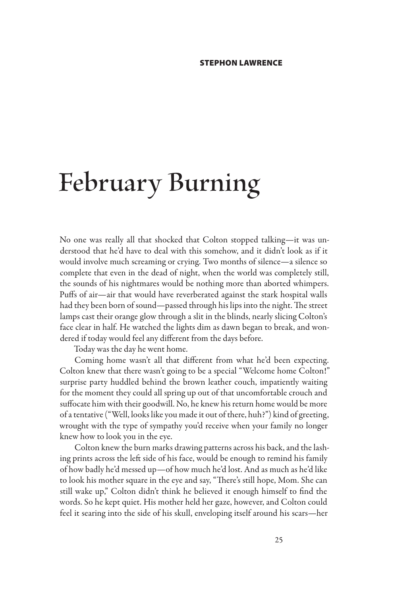## **February Burning**

No one was really all that shocked that Colton stopped talking—it was understood that he'd have to deal with this somehow, and it didn't look as if it would involve much screaming or crying. Two months of silence—a silence so complete that even in the dead of night, when the world was completely still, the sounds of his nightmares would be nothing more than aborted whimpers. Puffs of air—air that would have reverberated against the stark hospital walls had they been born of sound—passed through his lips into the night. The street lamps cast their orange glow through a slit in the blinds, nearly slicing Colton's face clear in half. He watched the lights dim as dawn began to break, and wondered if today would feel any different from the days before.

Today was the day he went home.

Coming home wasn't all that different from what he'd been expecting. Colton knew that there wasn't going to be a special "Welcome home Colton!" surprise party huddled behind the brown leather couch, impatiently waiting for the moment they could all spring up out of that uncomfortable crouch and suffocate him with their goodwill. No, he knew his return home would be more of a tentative ("Well, looks like you made it out of there, huh?") kind of greeting, wrought with the type of sympathy you'd receive when your family no longer knew how to look you in the eye.

Colton knew the burn marks drawing patterns across his back, and the lashing prints across the left side of his face, would be enough to remind his family of how badly he'd messed up—of how much he'd lost. And as much as he'd like to look his mother square in the eye and say, "There's still hope, Mom. She can still wake up," Colton didn't think he believed it enough himself to find the words. So he kept quiet. His mother held her gaze, however, and Colton could feel it searing into the side of his skull, enveloping itself around his scars—her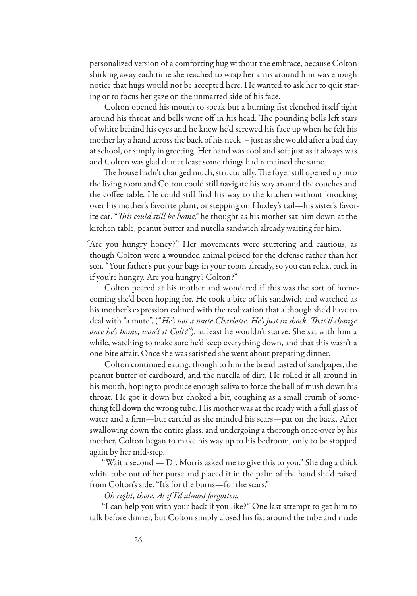personalized version of a comforting hug without the embrace, because Colton shirking away each time she reached to wrap her arms around him was enough notice that hugs would not be accepted here. He wanted to ask her to quit staring or to focus her gaze on the unmarred side of his face.

Colton opened his mouth to speak but a burning fist clenched itself tight around his throat and bells went off in his head. The pounding bells left stars of white behind his eyes and he knew he'd screwed his face up when he felt his mother lay a hand across the back of his neck – just as she would after a bad day at school, or simply in greeting. Her hand was cool and soft just as it always was and Colton was glad that at least some things had remained the same.

The house hadn't changed much, structurally. The foyer still opened up into the living room and Colton could still navigate his way around the couches and the coffee table. He could still find his way to the kitchen without knocking over his mother's favorite plant, or stepping on Huxley's tail—his sister's favorite cat. "*This could still be home,"* he thought as his mother sat him down at the kitchen table, peanut butter and nutella sandwich already waiting for him.

"Are you hungry honey?" Her movements were stuttering and cautious, as though Colton were a wounded animal poised for the defense rather than her son. "Your father's put your bags in your room already, so you can relax, tuck in if you're hungry. Are you hungry? Colton?"

Colton peered at his mother and wondered if this was the sort of homecoming she'd been hoping for. He took a bite of his sandwich and watched as his mother's expression calmed with the realization that although she'd have to deal with "a mute", ("*He's not a mute Charlotte. He's just in shock. That'll change once he's home, won't it Colt?"*), at least he wouldn't starve. She sat with him a while, watching to make sure he'd keep everything down, and that this wasn't a one-bite affair. Once she was satisfied she went about preparing dinner.

Colton continued eating, though to him the bread tasted of sandpaper, the peanut butter of cardboard, and the nutella of dirt. He rolled it all around in his mouth, hoping to produce enough saliva to force the ball of mush down his throat. He got it down but choked a bit, coughing as a small crumb of something fell down the wrong tube. His mother was at the ready with a full glass of water and a firm—but careful as she minded his scars—pat on the back. After swallowing down the entire glass, and undergoing a thorough once-over by his mother, Colton began to make his way up to his bedroom, only to be stopped again by her mid-step.

"Wait a second — Dr. Morris asked me to give this to you." She dug a thick white tube out of her purse and placed it in the palm of the hand she'd raised from Colton's side. "It's for the burns—for the scars."

*Oh right, those. As if I'd almost forgotten.*

"I can help you with your back if you like?" One last attempt to get him to talk before dinner, but Colton simply closed his fist around the tube and made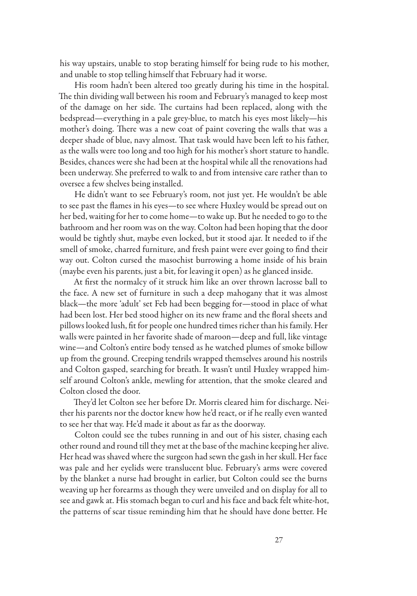his way upstairs, unable to stop berating himself for being rude to his mother, and unable to stop telling himself that February had it worse.

His room hadn't been altered too greatly during his time in the hospital. The thin dividing wall between his room and February's managed to keep most of the damage on her side. The curtains had been replaced, along with the bedspread—everything in a pale grey-blue, to match his eyes most likely—his mother's doing. There was a new coat of paint covering the walls that was a deeper shade of blue, navy almost. That task would have been left to his father, as the walls were too long and too high for his mother's short stature to handle. Besides, chances were she had been at the hospital while all the renovations had been underway. She preferred to walk to and from intensive care rather than to oversee a few shelves being installed.

He didn't want to see February's room, not just yet. He wouldn't be able to see past the flames in his eyes—to see where Huxley would be spread out on her bed, waiting for her to come home—to wake up. But he needed to go to the bathroom and her room was on the way. Colton had been hoping that the door would be tightly shut, maybe even locked, but it stood ajar. It needed to if the smell of smoke, charred furniture, and fresh paint were ever going to find their way out. Colton cursed the masochist burrowing a home inside of his brain (maybe even his parents, just a bit, for leaving it open) as he glanced inside.

At first the normalcy of it struck him like an over thrown lacrosse ball to the face. A new set of furniture in such a deep mahogany that it was almost black—the more 'adult' set Feb had been begging for—stood in place of what had been lost. Her bed stood higher on its new frame and the floral sheets and pillows looked lush, fit for people one hundred times richer than his family. Her walls were painted in her favorite shade of maroon—deep and full, like vintage wine—and Colton's entire body tensed as he watched plumes of smoke billow up from the ground. Creeping tendrils wrapped themselves around his nostrils and Colton gasped, searching for breath. It wasn't until Huxley wrapped himself around Colton's ankle, mewling for attention, that the smoke cleared and Colton closed the door.

They'd let Colton see her before Dr. Morris cleared him for discharge. Neither his parents nor the doctor knew how he'd react, or if he really even wanted to see her that way. He'd made it about as far as the doorway.

Colton could see the tubes running in and out of his sister, chasing each other round and round till they met at the base of the machine keeping her alive. Her head was shaved where the surgeon had sewn the gash in her skull. Her face was pale and her eyelids were translucent blue. February's arms were covered by the blanket a nurse had brought in earlier, but Colton could see the burns weaving up her forearms as though they were unveiled and on display for all to see and gawk at. His stomach began to curl and his face and back felt white-hot, the patterns of scar tissue reminding him that he should have done better. He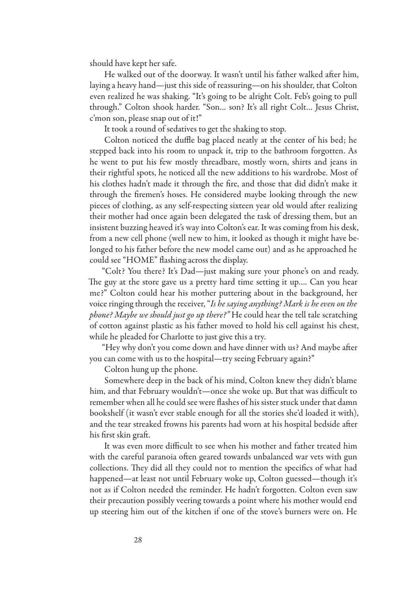should have kept her safe.

He walked out of the doorway. It wasn't until his father walked after him, laying a heavy hand—just this side of reassuring—on his shoulder, that Colton even realized he was shaking. "It's going to be alright Colt. Feb's going to pull through." Colton shook harder. "Son… son? It's all right Colt… Jesus Christ, c'mon son, please snap out of it!"

It took a round of sedatives to get the shaking to stop.

Colton noticed the duffle bag placed neatly at the center of his bed; he stepped back into his room to unpack it, trip to the bathroom forgotten. As he went to put his few mostly threadbare, mostly worn, shirts and jeans in their rightful spots, he noticed all the new additions to his wardrobe. Most of his clothes hadn't made it through the fire, and those that did didn't make it through the firemen's hoses. He considered maybe looking through the new pieces of clothing, as any self-respecting sixteen year old would after realizing their mother had once again been delegated the task of dressing them, but an insistent buzzing heaved it's way into Colton's ear. It was coming from his desk, from a new cell phone (well new to him, it looked as though it might have belonged to his father before the new model came out) and as he approached he could see "HOME" flashing across the display.

"Colt? You there? It's Dad—just making sure your phone's on and ready. The guy at the store gave us a pretty hard time setting it up…. Can you hear me?" Colton could hear his mother puttering about in the background, her voice ringing through the receiver, "*Is he saying anything? Mark is he even on the phone? Maybe we should just go up there?"* He could hear the tell tale scratching of cotton against plastic as his father moved to hold his cell against his chest, while he pleaded for Charlotte to just give this a try*.*

"Hey why don't you come down and have dinner with us? And maybe after you can come with us to the hospital—try seeing February again?"

Colton hung up the phone.

Somewhere deep in the back of his mind, Colton knew they didn't blame him, and that February wouldn't—once she woke up. But that was difficult to remember when all he could see were flashes of his sister stuck under that damn bookshelf (it wasn't ever stable enough for all the stories she'd loaded it with), and the tear streaked frowns his parents had worn at his hospital bedside after his first skin graft.

It was even more difficult to see when his mother and father treated him with the careful paranoia often geared towards unbalanced war vets with gun collections. They did all they could not to mention the specifics of what had happened—at least not until February woke up, Colton guessed—though it's not as if Colton needed the reminder. He hadn't forgotten. Colton even saw their precaution possibly veering towards a point where his mother would end up steering him out of the kitchen if one of the stove's burners were on. He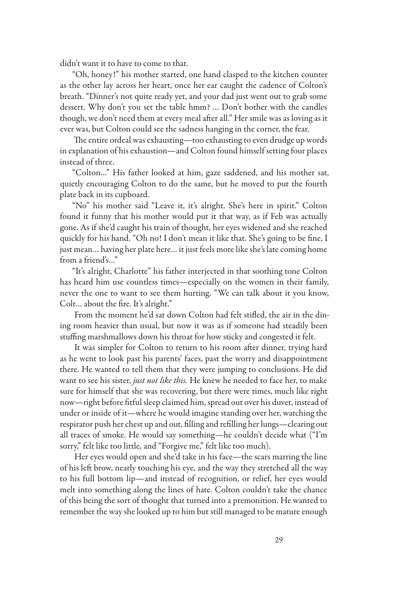didn't want it to have to come to that.

"Oh, honey!" his mother started, one hand clasped to the kitchen counter as the other lay across her heart, once her ear caught the cadence of Colton's breath. "Dinner's not quite ready yet, and your dad just went out to grab some dessert. Why don't you set the table hmm? … Don't bother with the candles though, we don't need them at every meal after all." Her smile was as loving as it ever was, but Colton could see the sadness hanging in the corner, the fear.

The entire ordeal was exhausting—too exhausting to even drudge up words in explanation of his exhaustion—and Colton found himself setting four places instead of three.

"Colton…" His father looked at him, gaze saddened, and his mother sat, quietly encouraging Colton to do the same, but he moved to put the fourth plate back in its cupboard.

"No" his mother said "Leave it, it's alright. She's here in spirit." Colton found it funny that his mother would put it that way, as if Feb was actually gone. As if she'd caught his train of thought, her eyes widened and she reached quickly for his hand. "Oh no! I don't mean it like that. She's going to be fine, I just mean… having her plate here… it just feels more like she's late coming home from a friend's…"

"It's alright, Charlotte" his father interjected in that soothing tone Colton has heard him use countless times—especially on the women in their family, never the one to want to see them hurting. "We can talk about it you know, Colt… about the fire. It's alright."

From the moment he'd sat down Colton had felt stifled, the air in the dining room heavier than usual, but now it was as if someone had steadily been stuffing marshmallows down his throat for how sticky and congested it felt.

It was simpler for Colton to return to his room after dinner, trying hard as he went to look past his parents' faces, past the worry and disappointment there. He wanted to tell them that they were jumping to conclusions. He did want to see his sister, *just not like this.* He knew he needed to face her, to make sure for himself that she was recovering, but there were times, much like right now—right before fitful sleep claimed him, spread out over his duvet, instead of under or inside of it—where he would imagine standing over her, watching the respirator push her chest up and out, filling and refilling her lungs—clearing out all traces of smoke. He would say something—he couldn't decide what ("I'm sorry," felt like too little*,* and "Forgive me," felt like too much).

Her eyes would open and she'd take in his face—the scars marring the line of his left brow, nearly touching his eye, and the way they stretched all the way to his full bottom lip—and instead of recognition, or relief, her eyes would melt into something along the lines of hate. Colton couldn't take the chance of this being the sort of thought that turned into a premonition. He wanted to remember the way she looked up to him but still managed to be mature enough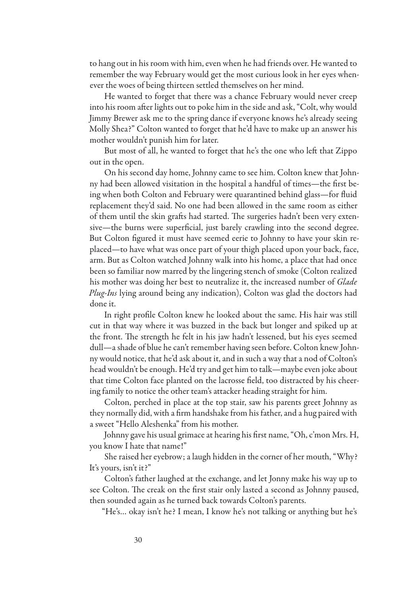to hang out in his room with him, even when he had friends over. He wanted to remember the way February would get the most curious look in her eyes whenever the woes of being thirteen settled themselves on her mind.

He wanted to forget that there was a chance February would never creep into his room after lights out to poke him in the side and ask, "Colt, why would Jimmy Brewer ask me to the spring dance if everyone knows he's already seeing Molly Shea?" Colton wanted to forget that he'd have to make up an answer his mother wouldn't punish him for later.

But most of all, he wanted to forget that he's the one who left that Zippo out in the open.

On his second day home, Johnny came to see him. Colton knew that Johnny had been allowed visitation in the hospital a handful of times—the first being when both Colton and February were quarantined behind glass—for fluid replacement they'd said. No one had been allowed in the same room as either of them until the skin grafts had started. The surgeries hadn't been very extensive—the burns were superficial, just barely crawling into the second degree. But Colton figured it must have seemed eerie to Johnny to have your skin replaced—to have what was once part of your thigh placed upon your back, face, arm. But as Colton watched Johnny walk into his home, a place that had once been so familiar now marred by the lingering stench of smoke (Colton realized his mother was doing her best to neutralize it, the increased number of *Glade Plug-Ins* lying around being any indication), Colton was glad the doctors had done it.

In right profile Colton knew he looked about the same. His hair was still cut in that way where it was buzzed in the back but longer and spiked up at the front. The strength he felt in his jaw hadn't lessened, but his eyes seemed dull—a shade of blue he can't remember having seen before. Colton knew Johnny would notice, that he'd ask about it, and in such a way that a nod of Colton's head wouldn't be enough. He'd try and get him to talk—maybe even joke about that time Colton face planted on the lacrosse field, too distracted by his cheering family to notice the other team's attacker heading straight for him.

Colton, perched in place at the top stair, saw his parents greet Johnny as they normally did, with a firm handshake from his father, and a hug paired with a sweet "Hello Aleshenka" from his mother.

Johnny gave his usual grimace at hearing his first name, "Oh, c'mon Mrs. H, you know I hate that name!"

She raised her eyebrow; a laugh hidden in the corner of her mouth, "Why? It's yours, isn't it?"

Colton's father laughed at the exchange, and let Jonny make his way up to see Colton. The creak on the first stair only lasted a second as Johnny paused, then sounded again as he turned back towards Colton's parents.

"He's… okay isn't he? I mean, I know he's not talking or anything but he's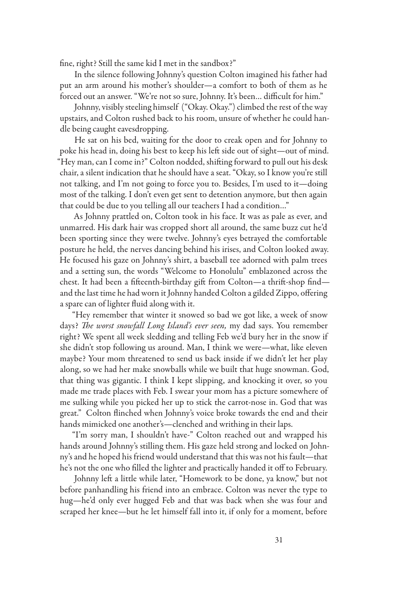fine, right? Still the same kid I met in the sandbox?"

In the silence following Johnny's question Colton imagined his father had put an arm around his mother's shoulder—a comfort to both of them as he forced out an answer. "We're not so sure, Johnny. It's been… difficult for him."

Johnny, visibly steeling himself ("Okay. Okay.") climbed the rest of the way upstairs, and Colton rushed back to his room, unsure of whether he could handle being caught eavesdropping.

He sat on his bed, waiting for the door to creak open and for Johnny to poke his head in, doing his best to keep his left side out of sight—out of mind. "Hey man, can I come in?" Colton nodded, shifting forward to pull out his desk chair, a silent indication that he should have a seat. "Okay, so I know you're still not talking, and I'm not going to force you to. Besides, I'm used to it—doing most of the talking. I don't even get sent to detention anymore, but then again that could be due to you telling all our teachers I had a condition…"

As Johnny prattled on, Colton took in his face. It was as pale as ever, and unmarred. His dark hair was cropped short all around, the same buzz cut he'd been sporting since they were twelve. Johnny's eyes betrayed the comfortable posture he held, the nerves dancing behind his irises, and Colton looked away. He focused his gaze on Johnny's shirt, a baseball tee adorned with palm trees and a setting sun, the words "Welcome to Honolulu" emblazoned across the chest. It had been a fifteenth-birthday gift from Colton—a thrift-shop find and the last time he had worn it Johnny handed Colton a gilded Zippo, offering a spare can of lighter fluid along with it.

"Hey remember that winter it snowed so bad we got like, a week of snow days? *The worst snowfall Long Island's ever seen,* my dad says. You remember right? We spent all week sledding and telling Feb we'd bury her in the snow if she didn't stop following us around. Man, I think we were—what, like eleven maybe? Your mom threatened to send us back inside if we didn't let her play along, so we had her make snowballs while we built that huge snowman. God, that thing was gigantic. I think I kept slipping, and knocking it over, so you made me trade places with Feb. I swear your mom has a picture somewhere of me sulking while you picked her up to stick the carrot-nose in. God that was great." Colton flinched when Johnny's voice broke towards the end and their hands mimicked one another's—clenched and writhing in their laps.

"I'm sorry man, I shouldn't have-" Colton reached out and wrapped his hands around Johnny's stilling them. His gaze held strong and locked on Johnny's and he hoped his friend would understand that this was not his fault—that he's not the one who filled the lighter and practically handed it off to February.

Johnny left a little while later, "Homework to be done, ya know," but not before panhandling his friend into an embrace. Colton was never the type to hug—he'd only ever hugged Feb and that was back when she was four and scraped her knee—but he let himself fall into it, if only for a moment, before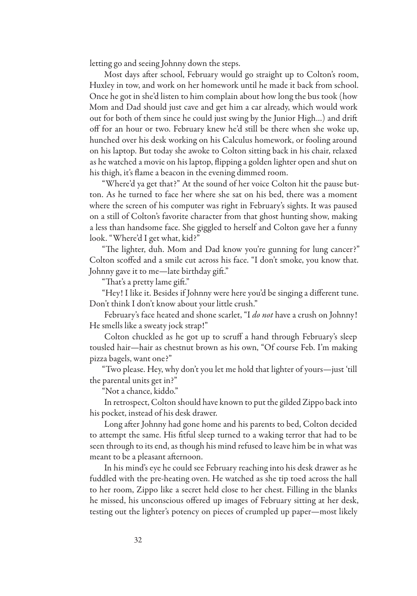letting go and seeing Johnny down the steps.

Most days after school, February would go straight up to Colton's room, Huxley in tow, and work on her homework until he made it back from school. Once he got in she'd listen to him complain about how long the bus took (how Mom and Dad should just cave and get him a car already, which would work out for both of them since he could just swing by the Junior High…) and drift off for an hour or two. February knew he'd still be there when she woke up, hunched over his desk working on his Calculus homework, or fooling around on his laptop. But today she awoke to Colton sitting back in his chair, relaxed as he watched a movie on his laptop, flipping a golden lighter open and shut on his thigh, it's flame a beacon in the evening dimmed room.

"Where'd ya get that?" At the sound of her voice Colton hit the pause button. As he turned to face her where she sat on his bed, there was a moment where the screen of his computer was right in February's sights. It was paused on a still of Colton's favorite character from that ghost hunting show, making a less than handsome face. She giggled to herself and Colton gave her a funny look. "Where'd I get what, kid?"

"The lighter, duh. Mom and Dad know you're gunning for lung cancer?" Colton scoffed and a smile cut across his face. "I don't smoke, you know that. Johnny gave it to me—late birthday gift."

"That's a pretty lame gift."

"Hey! I like it. Besides if Johnny were here you'd be singing a different tune. Don't think I don't know about your little crush."

February's face heated and shone scarlet, "I *do not* have a crush on Johnny! He smells like a sweaty jock strap!"

Colton chuckled as he got up to scruff a hand through February's sleep tousled hair—hair as chestnut brown as his own, "Of course Feb. I'm making pizza bagels, want one?"

"Two please. Hey, why don't you let me hold that lighter of yours—just 'till the parental units get in?"

"Not a chance, kiddo."

In retrospect, Colton should have known to put the gilded Zippo back into his pocket, instead of his desk drawer.

Long after Johnny had gone home and his parents to bed, Colton decided to attempt the same. His fitful sleep turned to a waking terror that had to be seen through to its end, as though his mind refused to leave him be in what was meant to be a pleasant afternoon.

In his mind's eye he could see February reaching into his desk drawer as he fuddled with the pre-heating oven. He watched as she tip toed across the hall to her room, Zippo like a secret held close to her chest. Filling in the blanks he missed, his unconscious offered up images of February sitting at her desk, testing out the lighter's potency on pieces of crumpled up paper—most likely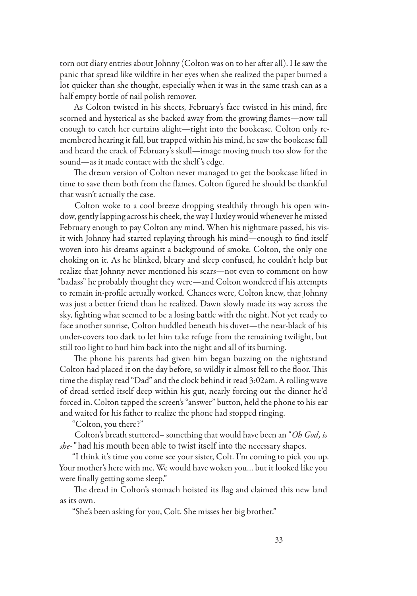torn out diary entries about Johnny (Colton was on to her after all). He saw the panic that spread like wildfire in her eyes when she realized the paper burned a lot quicker than she thought, especially when it was in the same trash can as a half empty bottle of nail polish remover.

As Colton twisted in his sheets, February's face twisted in his mind, fire scorned and hysterical as she backed away from the growing flames—now tall enough to catch her curtains alight—right into the bookcase. Colton only remembered hearing it fall, but trapped within his mind, he saw the bookcase fall and heard the crack of February's skull—image moving much too slow for the sound—as it made contact with the shelf 's edge.

The dream version of Colton never managed to get the bookcase lifted in time to save them both from the flames. Colton figured he should be thankful that wasn't actually the case.

Colton woke to a cool breeze dropping stealthily through his open window, gently lapping across his cheek, the way Huxley would whenever he missed February enough to pay Colton any mind. When his nightmare passed, his visit with Johnny had started replaying through his mind—enough to find itself woven into his dreams against a background of smoke. Colton, the only one choking on it. As he blinked, bleary and sleep confused, he couldn't help but realize that Johnny never mentioned his scars—not even to comment on how "badass" he probably thought they were—and Colton wondered if his attempts to remain in-profile actually worked. Chances were, Colton knew, that Johnny was just a better friend than he realized. Dawn slowly made its way across the sky, fighting what seemed to be a losing battle with the night. Not yet ready to face another sunrise, Colton huddled beneath his duvet—the near-black of his under-covers too dark to let him take refuge from the remaining twilight, but still too light to hurl him back into the night and all of its burning.

The phone his parents had given him began buzzing on the nightstand Colton had placed it on the day before, so wildly it almost fell to the floor. This time the display read "Dad" and the clock behind it read 3:02am. A rolling wave of dread settled itself deep within his gut, nearly forcing out the dinner he'd forced in. Colton tapped the screen's "answer" button, held the phone to his ear and waited for his father to realize the phone had stopped ringing.

"Colton, you there?"

Colton's breath stuttered– something that would have been an "*Oh God, is she-"* had his mouth been able to twist itself into the necessary shapes.

"I think it's time you come see your sister, Colt. I'm coming to pick you up. Your mother's here with me. We would have woken you… but it looked like you were finally getting some sleep."

The dread in Colton's stomach hoisted its flag and claimed this new land as its own.

"She's been asking for you, Colt. She misses her big brother."